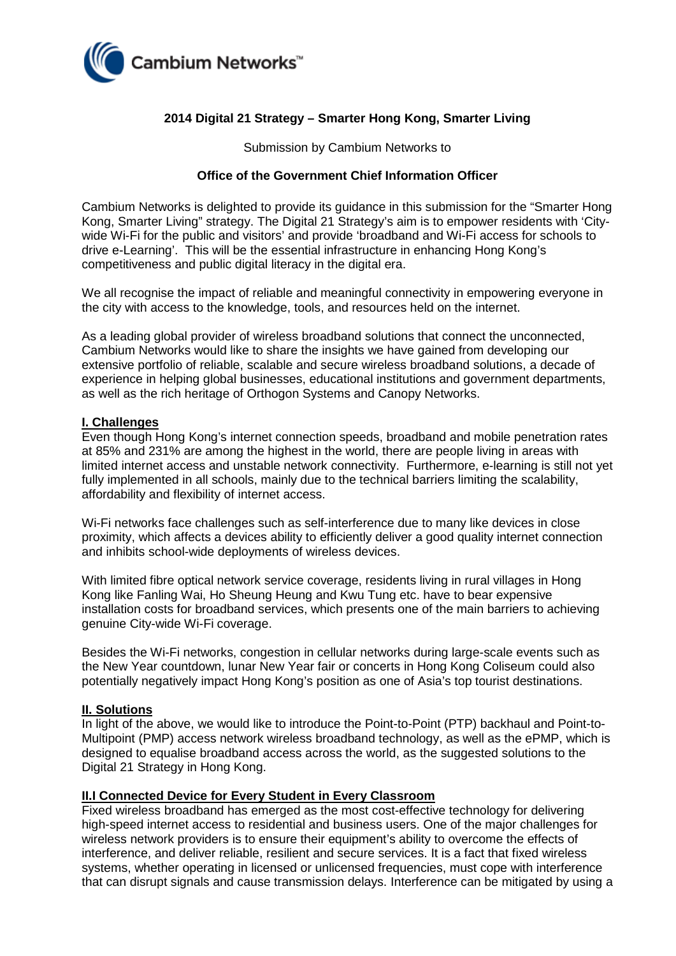

# **2014 Digital 21 Strategy – Smarter Hong Kong, Smarter Living**

Submission by Cambium Networks to

### **Office of the Government Chief Information Officer**

Cambium Networks is delighted to provide its guidance in this submission for the "Smarter Hong Kong, Smarter Living" strategy. The Digital 21 Strategy's aim is to empower residents with 'Citywide Wi-Fi for the public and visitors' and provide 'broadband and Wi-Fi access for schools to drive e-Learning'. This will be the essential infrastructure in enhancing Hong Kong's competitiveness and public digital literacy in the digital era.

We all recognise the impact of reliable and meaningful connectivity in empowering everyone in the city with access to the knowledge, tools, and resources held on the internet.

As a leading global provider of wireless broadband solutions that connect the unconnected, Cambium Networks would like to share the insights we have gained from developing our extensive portfolio of reliable, scalable and secure wireless broadband solutions, a decade of experience in helping global businesses, educational institutions and government departments, as well as the rich heritage of Orthogon Systems and Canopy Networks.

### **I. Challenges**

Even though Hong Kong's internet connection speeds, broadband and mobile penetration rates at 85% and 231% are among the highest in the world, there are people living in areas with limited internet access and unstable network connectivity. Furthermore, e-learning is still not yet fully implemented in all schools, mainly due to the technical barriers limiting the scalability, affordability and flexibility of internet access.

Wi-Fi networks face challenges such as self-interference due to many like devices in close proximity, which affects a devices ability to efficiently deliver a good quality internet connection and inhibits school-wide deployments of wireless devices.

With limited fibre optical network service coverage, residents living in rural villages in Hong Kong like Fanling Wai, Ho Sheung Heung and Kwu Tung etc. have to bear expensive installation costs for broadband services, which presents one of the main barriers to achieving genuine City-wide Wi-Fi coverage.

Besides the Wi-Fi networks, congestion in cellular networks during large-scale events such as the New Year countdown, lunar New Year fair or concerts in Hong Kong Coliseum could also potentially negatively impact Hong Kong's position as one of Asia's top tourist destinations.

#### **II. Solutions**

In light of the above, we would like to introduce the Point-to-Point (PTP) backhaul and Point-to-Multipoint (PMP) access network wireless broadband technology, as well as the ePMP, which is designed to equalise broadband access across the world, as the suggested solutions to the Digital 21 Strategy in Hong Kong.

#### **II.I Connected Device for Every Student in Every Classroom**

Fixed wireless broadband has emerged as the most cost-effective technology for delivering high-speed internet access to residential and business users. One of the major challenges for wireless network providers is to ensure their equipment's ability to overcome the effects of interference, and deliver reliable, resilient and secure services. It is a fact that fixed wireless systems, whether operating in licensed or unlicensed frequencies, must cope with interference that can disrupt signals and cause transmission delays. Interference can be mitigated by using a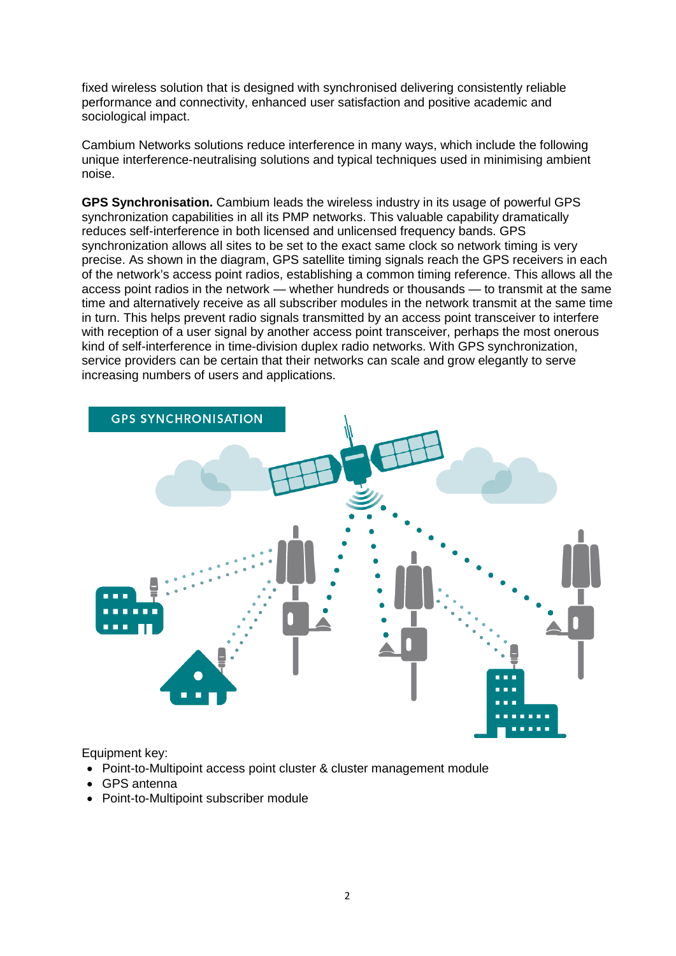fixed wireless solution that is designed with synchronised delivering consistently reliable performance and connectivity, enhanced user satisfaction and positive academic and sociological impact.

Cambium Networks solutions reduce interference in many ways, which include the following unique interference-neutralising solutions and typical techniques used in minimising ambient noise.

**GPS Synchronisation.** Cambium leads the wireless industry in its usage of powerful GPS synchronization capabilities in all its PMP networks. This valuable capability dramatically reduces self-interference in both licensed and unlicensed frequency bands. GPS synchronization allows all sites to be set to the exact same clock so network timing is very precise. As shown in the diagram, GPS satellite timing signals reach the GPS receivers in each of the network's access point radios, establishing a common timing reference. This allows all the access point radios in the network — whether hundreds or thousands — to transmit at the same time and alternatively receive as all subscriber modules in the network transmit at the same time in turn. This helps prevent radio signals transmitted by an access point transceiver to interfere with reception of a user signal by another access point transceiver, perhaps the most onerous kind of self-interference in time-division duplex radio networks. With GPS synchronization, service providers can be certain that their networks can scale and grow elegantly to serve increasing numbers of users and applications.



Equipment key:

- Point-to-Multipoint access point cluster & cluster management module
- GPS antenna
- Point-to-Multipoint subscriber module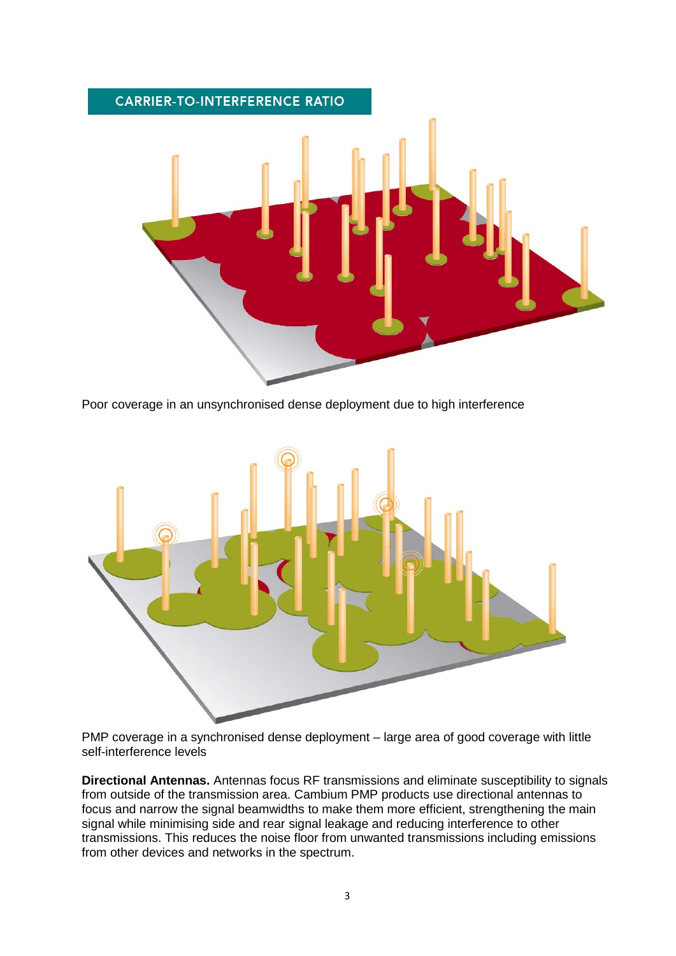

Poor coverage in an unsynchronised dense deployment due to high interference



PMP coverage in a synchronised dense deployment – large area of good coverage with little self-interference levels

**Directional Antennas.** Antennas focus RF transmissions and eliminate susceptibility to signals from outside of the transmission area. Cambium PMP products use directional antennas to focus and narrow the signal beamwidths to make them more efficient, strengthening the main signal while minimising side and rear signal leakage and reducing interference to other transmissions. This reduces the noise floor from unwanted transmissions including emissions from other devices and networks in the spectrum.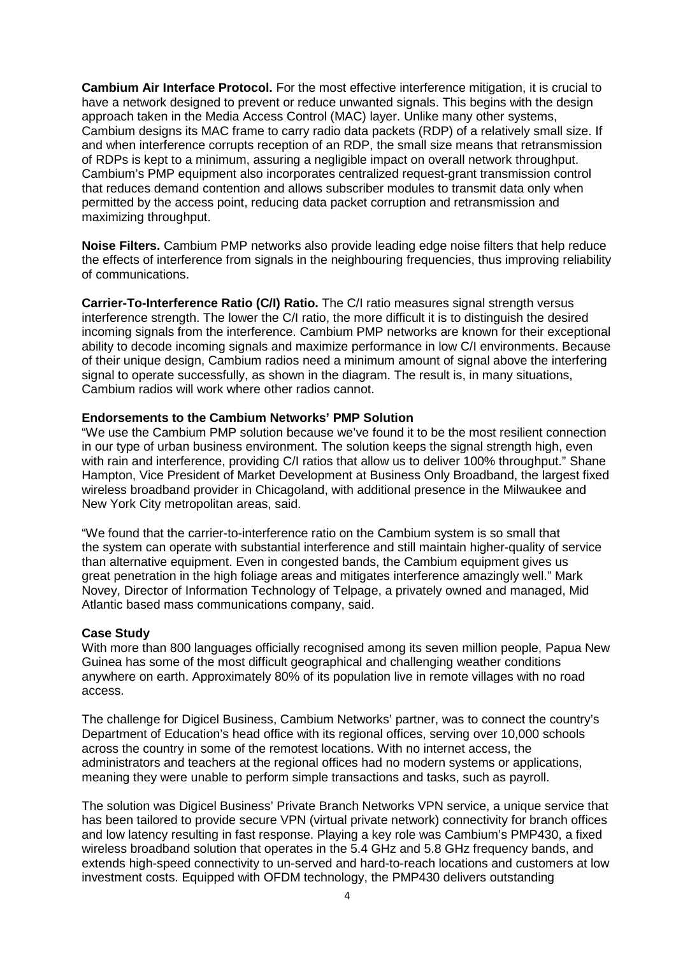**Cambium Air Interface Protocol.** For the most effective interference mitigation, it is crucial to have a network designed to prevent or reduce unwanted signals. This begins with the design approach taken in the Media Access Control (MAC) layer. Unlike many other systems, Cambium designs its MAC frame to carry radio data packets (RDP) of a relatively small size. If and when interference corrupts reception of an RDP, the small size means that retransmission of RDPs is kept to a minimum, assuring a negligible impact on overall network throughput. Cambium's PMP equipment also incorporates centralized request-grant transmission control that reduces demand contention and allows subscriber modules to transmit data only when permitted by the access point, reducing data packet corruption and retransmission and maximizing throughput.

**Noise Filters.** Cambium PMP networks also provide leading edge noise filters that help reduce the effects of interference from signals in the neighbouring frequencies, thus improving reliability of communications.

**Carrier-To-Interference Ratio (C/I) Ratio.** The C/I ratio measures signal strength versus interference strength. The lower the C/I ratio, the more difficult it is to distinguish the desired incoming signals from the interference. Cambium PMP networks are known for their exceptional ability to decode incoming signals and maximize performance in low C/I environments. Because of their unique design, Cambium radios need a minimum amount of signal above the interfering signal to operate successfully, as shown in the diagram. The result is, in many situations, Cambium radios will work where other radios cannot.

### **Endorsements to the Cambium Networks' PMP Solution**

"We use the Cambium PMP solution because we've found it to be the most resilient connection in our type of urban business environment. The solution keeps the signal strength high, even with rain and interference, providing C/I ratios that allow us to deliver 100% throughput." Shane Hampton, Vice President of Market Development at Business Only Broadband, the largest fixed wireless broadband provider in Chicagoland, with additional presence in the Milwaukee and New York City metropolitan areas, said.

"We found that the carrier-to-interference ratio on the Cambium system is so small that the system can operate with substantial interference and still maintain higher-quality of service than alternative equipment. Even in congested bands, the Cambium equipment gives us great penetration in the high foliage areas and mitigates interference amazingly well." Mark Novey, Director of Information Technology of Telpage, a privately owned and managed, Mid Atlantic based mass communications company, said.

# **Case Study**

With more than 800 languages officially recognised among its seven million people, Papua New Guinea has some of the most difficult geographical and challenging weather conditions anywhere on earth. Approximately 80% of its population live in remote villages with no road access.

The challenge for Digicel Business, Cambium Networks' partner, was to connect the country's Department of Education's head office with its regional offices, serving over 10,000 schools across the country in some of the remotest locations. With no internet access, the administrators and teachers at the regional offices had no modern systems or applications, meaning they were unable to perform simple transactions and tasks, such as payroll.

The solution was Digicel Business' Private Branch Networks VPN service, a unique service that has been tailored to provide secure VPN (virtual private network) connectivity for branch offices and low latency resulting in fast response. Playing a key role was Cambium's PMP430, a fixed wireless broadband solution that operates in the 5.4 GHz and 5.8 GHz frequency bands, and extends high-speed connectivity to un-served and hard-to-reach locations and customers at low investment costs. Equipped with OFDM technology, the PMP430 delivers outstanding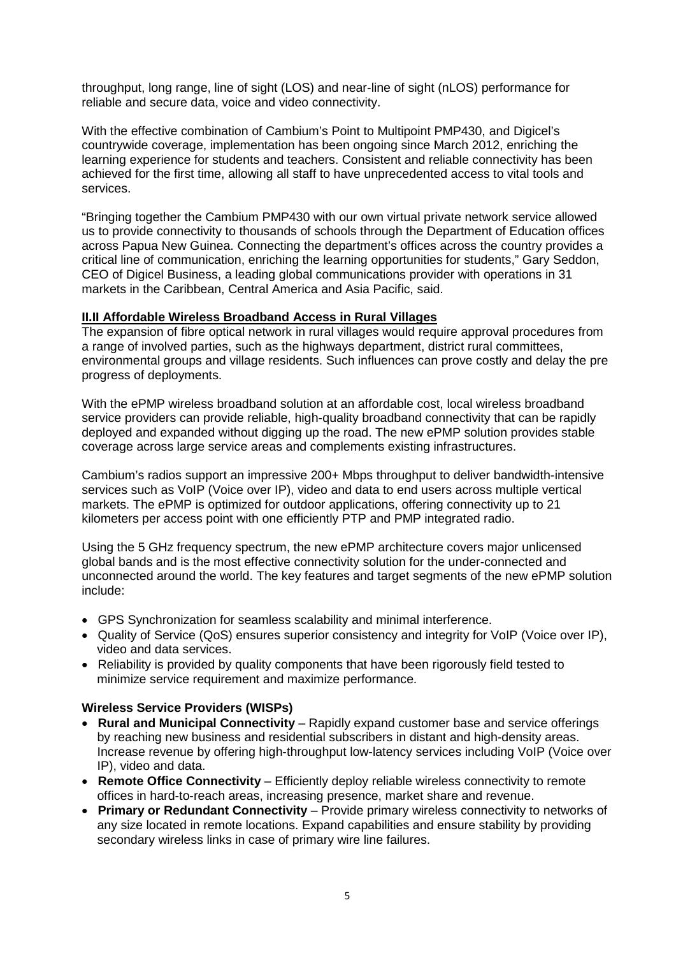throughput, long range, line of sight (LOS) and near-line of sight (nLOS) performance for reliable and secure data, voice and video connectivity.

With the effective combination of Cambium's Point to Multipoint PMP430, and Digicel's countrywide coverage, implementation has been ongoing since March 2012, enriching the learning experience for students and teachers. Consistent and reliable connectivity has been achieved for the first time, allowing all staff to have unprecedented access to vital tools and services.

"Bringing together the Cambium PMP430 with our own virtual private network service allowed us to provide connectivity to thousands of schools through the Department of Education offices across Papua New Guinea. Connecting the department's offices across the country provides a critical line of communication, enriching the learning opportunities for students," Gary Seddon, CEO of Digicel Business, a leading global communications provider with operations in 31 markets in the Caribbean, Central America and Asia Pacific, said.

# **II.II Affordable Wireless Broadband Access in Rural Villages**

The expansion of fibre optical network in rural villages would require approval procedures from a range of involved parties, such as the highways department, district rural committees, environmental groups and village residents. Such influences can prove costly and delay the pre progress of deployments.

With the ePMP wireless broadband solution at an affordable cost, local wireless broadband service providers can provide reliable, high-quality broadband connectivity that can be rapidly deployed and expanded without digging up the road. The new ePMP solution provides stable coverage across large service areas and complements existing infrastructures.

Cambium's radios support an impressive 200+ Mbps throughput to deliver bandwidth-intensive services such as VoIP (Voice over IP), video and data to end users across multiple vertical markets. The ePMP is optimized for outdoor applications, offering connectivity up to 21 kilometers per access point with one efficiently PTP and PMP integrated radio.

Using the 5 GHz frequency spectrum, the new ePMP architecture covers major unlicensed global bands and is the most effective connectivity solution for the under-connected and unconnected around the world. The key features and target segments of the new ePMP solution include:

- GPS Synchronization for seamless scalability and minimal interference.
- Quality of Service (QoS) ensures superior consistency and integrity for VoIP (Voice over IP), video and data services.
- Reliability is provided by quality components that have been rigorously field tested to minimize service requirement and maximize performance.

# **Wireless Service Providers (WISPs)**

- **Rural and Municipal Connectivity** Rapidly expand customer base and service offerings by reaching new business and residential subscribers in distant and high-density areas. Increase revenue by offering high-throughput low-latency services including VoIP (Voice over IP), video and data.
- **Remote Office Connectivity** Efficiently deploy reliable wireless connectivity to remote offices in hard-to-reach areas, increasing presence, market share and revenue.
- **Primary or Redundant Connectivity** Provide primary wireless connectivity to networks of any size located in remote locations. Expand capabilities and ensure stability by providing secondary wireless links in case of primary wire line failures.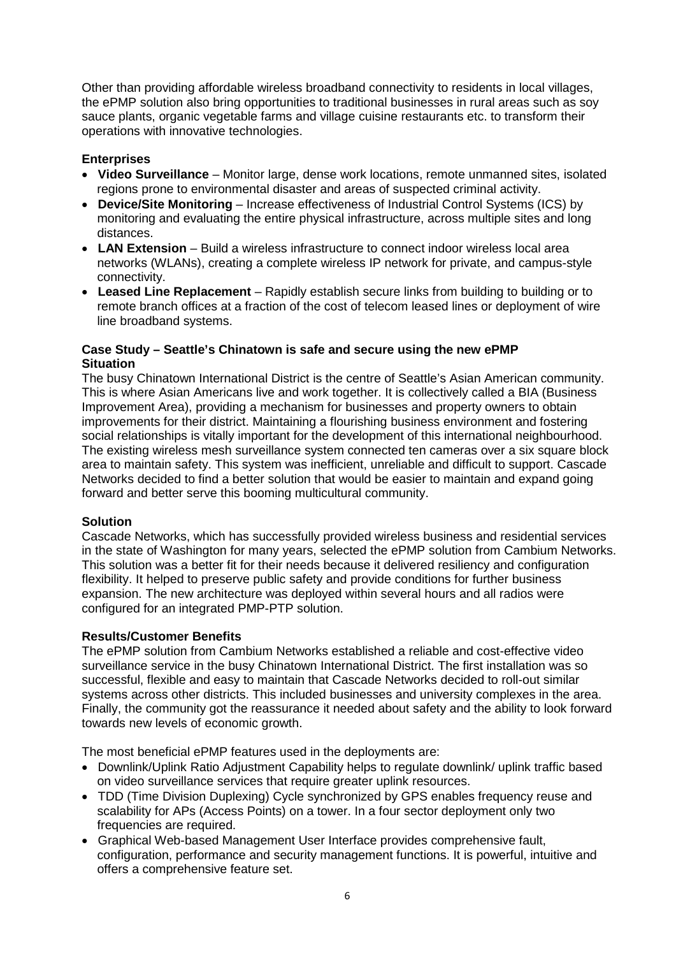Other than providing affordable wireless broadband connectivity to residents in local villages, the ePMP solution also bring opportunities to traditional businesses in rural areas such as soy sauce plants, organic vegetable farms and village cuisine restaurants etc. to transform their operations with innovative technologies.

# **Enterprises**

- **Video Surveillance** Monitor large, dense work locations, remote unmanned sites, isolated regions prone to environmental disaster and areas of suspected criminal activity.
- **Device/Site Monitoring** Increase effectiveness of Industrial Control Systems (ICS) by monitoring and evaluating the entire physical infrastructure, across multiple sites and long distances.
- **LAN Extension** Build a wireless infrastructure to connect indoor wireless local area networks (WLANs), creating a complete wireless IP network for private, and campus-style connectivity.
- **Leased Line Replacement** Rapidly establish secure links from building to building or to remote branch offices at a fraction of the cost of telecom leased lines or deployment of wire line broadband systems.

# **Case Study – Seattle's Chinatown is safe and secure using the new ePMP Situation**

The busy Chinatown International District is the centre of Seattle's Asian American community. This is where Asian Americans live and work together. It is collectively called a BIA (Business Improvement Area), providing a mechanism for businesses and property owners to obtain improvements for their district. Maintaining a flourishing business environment and fostering social relationships is vitally important for the development of this international neighbourhood. The existing wireless mesh surveillance system connected ten cameras over a six square block area to maintain safety. This system was inefficient, unreliable and difficult to support. Cascade Networks decided to find a better solution that would be easier to maintain and expand going forward and better serve this booming multicultural community.

# **Solution**

Cascade Networks, which has successfully provided wireless business and residential services in the state of Washington for many years, selected the ePMP solution from Cambium Networks. This solution was a better fit for their needs because it delivered resiliency and configuration flexibility. It helped to preserve public safety and provide conditions for further business expansion. The new architecture was deployed within several hours and all radios were configured for an integrated PMP-PTP solution.

# **Results/Customer Benefits**

The ePMP solution from Cambium Networks established a reliable and cost-effective video surveillance service in the busy Chinatown International District. The first installation was so successful, flexible and easy to maintain that Cascade Networks decided to roll-out similar systems across other districts. This included businesses and university complexes in the area. Finally, the community got the reassurance it needed about safety and the ability to look forward towards new levels of economic growth.

The most beneficial ePMP features used in the deployments are:

- Downlink/Uplink Ratio Adjustment Capability helps to regulate downlink/ uplink traffic based on video surveillance services that require greater uplink resources.
- TDD (Time Division Duplexing) Cycle synchronized by GPS enables frequency reuse and scalability for APs (Access Points) on a tower. In a four sector deployment only two frequencies are required.
- Graphical Web-based Management User Interface provides comprehensive fault, configuration, performance and security management functions. It is powerful, intuitive and offers a comprehensive feature set.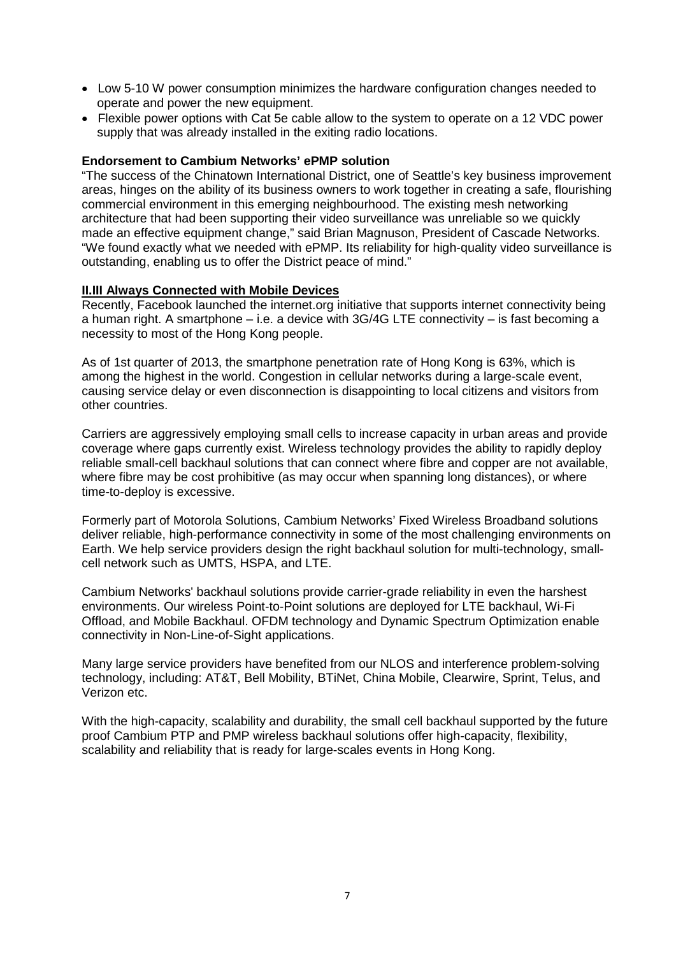- Low 5-10 W power consumption minimizes the hardware configuration changes needed to operate and power the new equipment.
- Flexible power options with Cat 5e cable allow to the system to operate on a 12 VDC power supply that was already installed in the exiting radio locations.

### **Endorsement to Cambium Networks' ePMP solution**

"The success of the Chinatown International District, one of Seattle's key business improvement areas, hinges on the ability of its business owners to work together in creating a safe, flourishing commercial environment in this emerging neighbourhood. The existing mesh networking architecture that had been supporting their video surveillance was unreliable so we quickly made an effective equipment change," said Brian Magnuson, President of Cascade Networks. "We found exactly what we needed with ePMP. Its reliability for high-quality video surveillance is outstanding, enabling us to offer the District peace of mind."

### **II.III Always Connected with Mobile Devices**

Recently, Facebook launched the internet.org initiative that supports internet connectivity being a human right. A smartphone – i.e. a device with  $3G/4G$  LTE connectivity – is fast becoming a necessity to most of the Hong Kong people.

As of 1st quarter of 2013, the smartphone penetration rate of Hong Kong is 63%, which is among the highest in the world. Congestion in cellular networks during a large-scale event, causing service delay or even disconnection is disappointing to local citizens and visitors from other countries.

Carriers are aggressively employing small cells to increase capacity in urban areas and provide coverage where gaps currently exist. Wireless technology provides the ability to rapidly deploy reliable small-cell backhaul solutions that can connect where fibre and copper are not available, where fibre may be cost prohibitive (as may occur when spanning long distances), or where time-to-deploy is excessive.

Formerly part of Motorola Solutions, Cambium Networks' Fixed Wireless Broadband solutions deliver reliable, high-performance connectivity in some of the most challenging environments on Earth. We help service providers design the right backhaul solution for multi-technology, smallcell network such as UMTS, HSPA, and LTE.

Cambium Networks' backhaul solutions provide carrier-grade reliability in even the harshest environments. Our wireless Point-to-Point solutions are deployed for LTE backhaul, Wi-Fi Offload, and Mobile Backhaul. OFDM technology and Dynamic Spectrum Optimization enable connectivity in Non-Line-of-Sight applications.

Many large service providers have benefited from our NLOS and interference problem-solving technology, including: AT&T, Bell Mobility, BTiNet, China Mobile, Clearwire, Sprint, Telus, and Verizon etc.

With the high-capacity, scalability and durability, the small cell backhaul supported by the future proof Cambium PTP and PMP wireless backhaul solutions offer high-capacity, flexibility, scalability and reliability that is ready for large-scales events in Hong Kong.